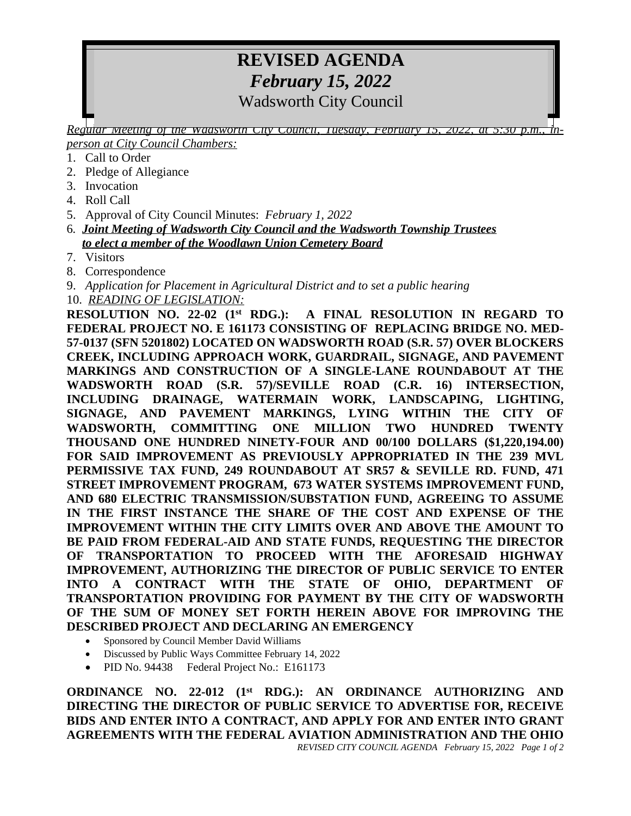## **REVISED AGENDA** *February 15, 2022* Wadsworth City Council

*Regular meeting of the waasworth City Council, Tuesaay, February 15, 2022, at 5:30 p.m. person at City Council Chambers:*

- 1. Call to Order
- 2. Pledge of Allegiance
- 3. Invocation
- 4. Roll Call
- 5. Approval of City Council Minutes: *February 1, 2022*
- 6*. Joint Meeting of Wadsworth City Council and the Wadsworth Township Trustees to elect a member of the Woodlawn Union Cemetery Board*
- 7. Visitors
- 8. Correspondence
- 9. *Application for Placement in Agricultural District and to set a public hearing*
- 10. *READING OF LEGISLATION:*

**RESOLUTION NO. 22-02 (1st RDG.): A FINAL RESOLUTION IN REGARD TO FEDERAL PROJECT NO. E 161173 CONSISTING OF REPLACING BRIDGE NO. MED-57-0137 (SFN 5201802) LOCATED ON WADSWORTH ROAD (S.R. 57) OVER BLOCKERS CREEK, INCLUDING APPROACH WORK, GUARDRAIL, SIGNAGE, AND PAVEMENT MARKINGS AND CONSTRUCTION OF A SINGLE-LANE ROUNDABOUT AT THE WADSWORTH ROAD (S.R. 57)/SEVILLE ROAD (C.R. 16) INTERSECTION, INCLUDING DRAINAGE, WATERMAIN WORK, LANDSCAPING, LIGHTING, SIGNAGE, AND PAVEMENT MARKINGS, LYING WITHIN THE CITY OF WADSWORTH, COMMITTING ONE MILLION TWO HUNDRED TWENTY THOUSAND ONE HUNDRED NINETY-FOUR AND 00/100 DOLLARS (\$1,220,194.00) FOR SAID IMPROVEMENT AS PREVIOUSLY APPROPRIATED IN THE 239 MVL PERMISSIVE TAX FUND, 249 ROUNDABOUT AT SR57 & SEVILLE RD. FUND, 471 STREET IMPROVEMENT PROGRAM, 673 WATER SYSTEMS IMPROVEMENT FUND, AND 680 ELECTRIC TRANSMISSION/SUBSTATION FUND, AGREEING TO ASSUME IN THE FIRST INSTANCE THE SHARE OF THE COST AND EXPENSE OF THE IMPROVEMENT WITHIN THE CITY LIMITS OVER AND ABOVE THE AMOUNT TO BE PAID FROM FEDERAL-AID AND STATE FUNDS, REQUESTING THE DIRECTOR OF TRANSPORTATION TO PROCEED WITH THE AFORESAID HIGHWAY IMPROVEMENT, AUTHORIZING THE DIRECTOR OF PUBLIC SERVICE TO ENTER INTO A CONTRACT WITH THE STATE OF OHIO, DEPARTMENT OF TRANSPORTATION PROVIDING FOR PAYMENT BY THE CITY OF WADSWORTH OF THE SUM OF MONEY SET FORTH HEREIN ABOVE FOR IMPROVING THE DESCRIBED PROJECT AND DECLARING AN EMERGENCY**

- Sponsored by Council Member David Williams
- Discussed by Public Ways Committee February 14, 2022
- PID No. 94438 Federal Project No.: E161173

*REVISED CITY COUNCIL AGENDA February 15, 2022 Page 1 of 2* **ORDINANCE NO. 22-012 (1 st RDG.): AN ORDINANCE AUTHORIZING AND DIRECTING THE DIRECTOR OF PUBLIC SERVICE TO ADVERTISE FOR, RECEIVE BIDS AND ENTER INTO A CONTRACT, AND APPLY FOR AND ENTER INTO GRANT AGREEMENTS WITH THE FEDERAL AVIATION ADMINISTRATION AND THE OHIO**